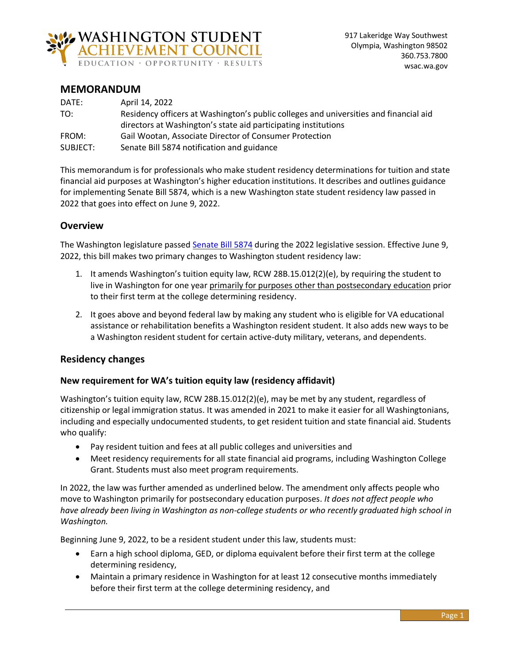

# **MEMORANDUM**

| DATE:    | April 14, 2022                                                                        |
|----------|---------------------------------------------------------------------------------------|
| TO:      | Residency officers at Washington's public colleges and universities and financial aid |
|          | directors at Washington's state aid participating institutions                        |
| FROM:    | Gail Wootan, Associate Director of Consumer Protection                                |
| SUBJECT: | Senate Bill 5874 notification and guidance                                            |

This memorandum is for professionals who make student residency determinations for tuition and state financial aid purposes at Washington's higher education institutions. It describes and outlines guidance for implementing Senate Bill 5874, which is a new Washington state student residency law passed in 2022 that goes into effect on June 9, 2022.

# **Overview**

The Washington legislature passed [Senate Bill 5874](https://app.leg.wa.gov/billsummary?BillNumber=5874&Year=2021) during the 2022 legislative session. Effective June 9, 2022, this bill makes two primary changes to Washington student residency law:

- 1. It amends Washington's tuition equity law, RCW 28B.15.012(2)(e), by requiring the student to live in Washington for one year primarily for purposes other than postsecondary education prior to their first term at the college determining residency.
- 2. It goes above and beyond federal law by making any student who is eligible for VA educational assistance or rehabilitation benefits a Washington resident student. It also adds new ways to be a Washington resident student for certain active-duty military, veterans, and dependents.

# **Residency changes**

#### **New requirement for WA's tuition equity law (residency affidavit)**

Washington's tuition equity law, RCW 28B.15.012(2)(e), may be met by any student, regardless of citizenship or legal immigration status. It was amended in 2021 to make it easier for all Washingtonians, including and especially undocumented students, to get resident tuition and state financial aid. Students who qualify:

- Pay resident tuition and fees at all public colleges and universities and
- Meet residency requirements for all state financial aid programs, including Washington College Grant. Students must also meet program requirements.

In 2022, the law was further amended as underlined below. The amendment only affects people who move to Washington primarily for postsecondary education purposes. *It does not affect people who have already been living in Washington as non-college students or who recently graduated high school in Washington.* 

Beginning June 9, 2022, to be a resident student under this law, students must:

- Earn a high school diploma, GED, or diploma equivalent before their first term at the college determining residency,
- Maintain a primary residence in Washington for at least 12 consecutive months immediately before their first term at the college determining residency, and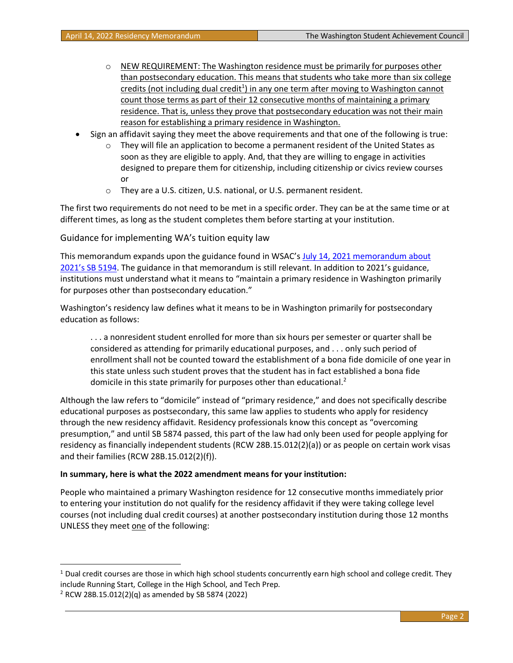- $\circ$  NEW REQUIREMENT: The Washington residence must be primarily for purposes other than postsecondary education. This means that students who take more than six college credits (not including dual credit<sup>1</sup>) in any one term after moving to Washington cannot count those terms as part of their 12 consecutive months of maintaining a primary residence. That is, unless they prove that postsecondary education was not their main reason for establishing a primary residence in Washington.
- Sign an affidavit saying they meet the above requirements and that one of the following is true:
	- $\circ$  They will file an application to become a permanent resident of the United States as soon as they are eligible to apply. And, that they are willing to engage in activities designed to prepare them for citizenship, including citizenship or civics review courses or
	- o They are a U.S. citizen, U.S. national, or U.S. permanent resident.

The first two requirements do not need to be met in a specific order. They can be at the same time or at different times, as long as the student completes them before starting at your institution.

Guidance for implementing WA's tuition equity law

This memorandum expands upon the guidance found in WSAC's [July 14, 2021 memorandum about](https://wsac.wa.gov/sites/default/files/SB5194OfficialGuidance.pdf) [2021's SB 5194](https://wsac.wa.gov/sites/default/files/SB5194OfficialGuidance.pdf). The guidance in that memorandum is still relevant. In addition to 2021's guidance, institutions must understand what it means to "maintain a primary residence in Washington primarily for purposes other than postsecondary education."

Washington's residency law defines what it means to be in Washington primarily for postsecondary education as follows:

. . . a nonresident student enrolled for more than six hours per semester or quarter shall be considered as attending for primarily educational purposes, and . . . only such period of enrollment shall not be counted toward the establishment of a bona fide domicile of one year in this state unless such student proves that the student has in fact established a bona fide domicile in this state primarily for purposes other than educational.<sup>2</sup>

Although the law refers to "domicile" instead of "primary residence," and does not specifically describe educational purposes as postsecondary, this same law applies to students who apply for residency through the new residency affidavit. Residency professionals know this concept as "overcoming presumption," and until SB 5874 passed, this part of the law had only been used for people applying for residency as financially independent students (RCW 28B.15.012(2)(a)) or as people on certain work visas and their families (RCW 28B.15.012(2)(f)).

#### **In summary, here is what the 2022 amendment means for your institution:**

People who maintained a primary Washington residence for 12 consecutive months immediately prior to entering your institution do not qualify for the residency affidavit if they were taking college level courses (not including dual credit courses) at another postsecondary institution during those 12 months UNLESS they meet one of the following:

<sup>&</sup>lt;sup>1</sup> Dual credit courses are those in which high school students concurrently earn high school and college credit. They include Running Start, College in the High School, and Tech Prep.

 $2$  RCW 28B.15.012(2)(q) as amended by SB 5874 (2022)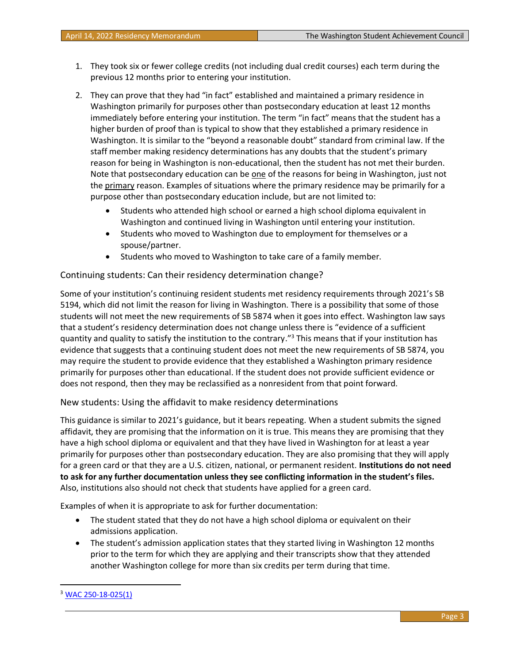- 1. They took six or fewer college credits (not including dual credit courses) each term during the previous 12 months prior to entering your institution.
- 2. They can prove that they had "in fact" established and maintained a primary residence in Washington primarily for purposes other than postsecondary education at least 12 months immediately before entering your institution. The term "in fact" means that the student has a higher burden of proof than is typical to show that they established a primary residence in Washington. It is similar to the "beyond a reasonable doubt" standard from criminal law. If the staff member making residency determinations has any doubts that the student's primary reason for being in Washington is non-educational, then the student has not met their burden. Note that postsecondary education can be one of the reasons for being in Washington, just not the primary reason. Examples of situations where the primary residence may be primarily for a purpose other than postsecondary education include, but are not limited to:
	- Students who attended high school or earned a high school diploma equivalent in Washington and continued living in Washington until entering your institution.
	- Students who moved to Washington due to employment for themselves or a spouse/partner.
	- Students who moved to Washington to take care of a family member.

#### Continuing students: Can their residency determination change?

Some of your institution's continuing resident students met residency requirements through 2021's SB 5194, which did not limit the reason for living in Washington. There is a possibility that some of those students will not meet the new requirements of SB 5874 when it goes into effect. Washington law says that a student's residency determination does not change unless there is "evidence of a sufficient quantity and quality to satisfy the institution to the contrary."<sup>3</sup> This means that if your institution has evidence that suggests that a continuing student does not meet the new requirements of SB 5874, you may require the student to provide evidence that they established a Washington primary residence primarily for purposes other than educational. If the student does not provide sufficient evidence or does not respond, then they may be reclassified as a nonresident from that point forward.

#### New students: Using the affidavit to make residency determinations

This guidance is similar to 2021's guidance, but it bears repeating. When a student submits the signed affidavit, they are promising that the information on it is true. This means they are promising that they have a high school diploma or equivalent and that they have lived in Washington for at least a year primarily for purposes other than postsecondary education. They are also promising that they will apply for a green card or that they are a U.S. citizen, national, or permanent resident. **Institutions do not need to ask for any further documentation unless they see conflicting information in the student's files.** Also, institutions also should not check that students have applied for a green card.

Examples of when it is appropriate to ask for further documentation:

- The student stated that they do not have a high school diploma or equivalent on their admissions application.
- The student's admission application states that they started living in Washington 12 months prior to the term for which they are applying and their transcripts show that they attended another Washington college for more than six credits per term during that time.

<sup>3</sup> [WAC 250-18-025\(1\)](https://apps.leg.wa.gov/WAC/default.aspx?cite=250-18&full=true#250-18-025)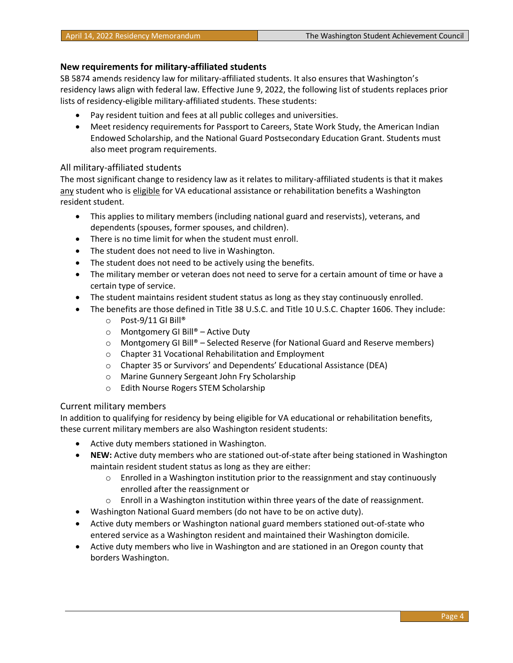### **New requirements for military-affiliated students**

SB 5874 amends residency law for military-affiliated students. It also ensures that Washington's residency laws align with federal law. Effective June 9, 2022, the following list of students replaces prior lists of residency-eligible military-affiliated students. These students:

- Pay resident tuition and fees at all public colleges and universities.
- Meet residency requirements for Passport to Careers, State Work Study, the American Indian Endowed Scholarship, and the National Guard Postsecondary Education Grant. Students must also meet program requirements.

#### All military-affiliated students

The most significant change to residency law as it relates to military-affiliated students is that it makes any student who is eligible for VA educational assistance or rehabilitation benefits a Washington resident student.

- This applies to military members (including national guard and reservists), veterans, and dependents (spouses, former spouses, and children).
- There is no time limit for when the student must enroll.
- The student does not need to live in Washington.
- The student does not need to be actively using the benefits.
- The military member or veteran does not need to serve for a certain amount of time or have a certain type of service.
- The student maintains resident student status as long as they stay continuously enrolled.
- The benefits are those defined in Title 38 U.S.C. and Title 10 U.S.C. Chapter 1606. They include:
	- o Post-9/11 GI Bill®
	- $\circ$  Montgomery GI Bill® Active Duty
	- $\circ$  Montgomery GI Bill® Selected Reserve (for National Guard and Reserve members)
	- o Chapter 31 Vocational Rehabilitation and Employment
	- o Chapter 35 or Survivors' and Dependents' Educational Assistance (DEA)
	- o Marine Gunnery Sergeant John Fry Scholarship
	- o Edith Nourse Rogers STEM Scholarship

#### Current military members

In addition to qualifying for residency by being eligible for VA educational or rehabilitation benefits, these current military members are also Washington resident students:

- Active duty members stationed in Washington.
- **NEW:** Active duty members who are stationed out-of-state after being stationed in Washington maintain resident student status as long as they are either:
	- $\circ$  Enrolled in a Washington institution prior to the reassignment and stay continuously enrolled after the reassignment or
	- $\circ$  Enroll in a Washington institution within three years of the date of reassignment.
- Washington National Guard members (do not have to be on active duty).
- Active duty members or Washington national guard members stationed out-of-state who entered service as a Washington resident and maintained their Washington domicile.
- Active duty members who live in Washington and are stationed in an Oregon county that borders Washington.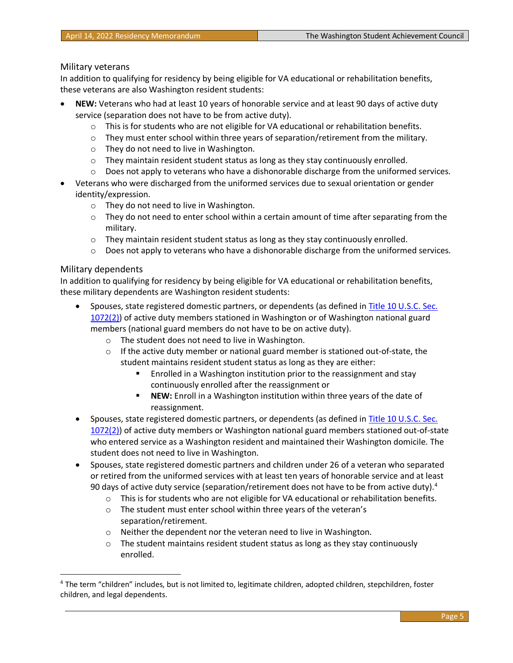#### Military veterans

In addition to qualifying for residency by being eligible for VA educational or rehabilitation benefits, these veterans are also Washington resident students:

- **NEW:** Veterans who had at least 10 years of honorable service and at least 90 days of active duty service (separation does not have to be from active duty).
	- $\circ$  This is for students who are not eligible for VA educational or rehabilitation benefits.
	- $\circ$  They must enter school within three years of separation/retirement from the military.
	- o They do not need to live in Washington.
	- $\circ$  They maintain resident student status as long as they stay continuously enrolled.
	- $\circ$  Does not apply to veterans who have a dishonorable discharge from the uniformed services.
- Veterans who were discharged from the uniformed services due to sexual orientation or gender identity/expression.
	- o They do not need to live in Washington.
	- $\circ$  They do not need to enter school within a certain amount of time after separating from the military.
	- $\circ$  They maintain resident student status as long as they stay continuously enrolled.
	- $\circ$  Does not apply to veterans who have a dishonorable discharge from the uniformed services.

#### Military dependents

In addition to qualifying for residency by being eligible for VA educational or rehabilitation benefits, these military dependents are Washington resident students:

- Spouses, state registered domestic partners, or dependents (as defined in Title 10 U.S.C. Sec. [1072\(2\)\)](https://www.law.cornell.edu/uscode/text/10/1072) of active duty members stationed in Washington or of Washington national guard members (national guard members do not have to be on active duty).
	- o The student does not need to live in Washington.
	- $\circ$  If the active duty member or national guard member is stationed out-of-state, the student maintains resident student status as long as they are either:
		- Enrolled in a Washington institution prior to the reassignment and stay continuously enrolled after the reassignment or
		- **NEW:** Enroll in a Washington institution within three years of the date of reassignment.
- Spouses, state registered domestic partners, or dependents (as defined in [Title 10 U.S.C. Sec.](https://www.law.cornell.edu/uscode/text/10/1072)  [1072\(2\)\)](https://www.law.cornell.edu/uscode/text/10/1072) of active duty members or Washington national guard members stationed out-of-state who entered service as a Washington resident and maintained their Washington domicile. The student does not need to live in Washington.
- Spouses, state registered domestic partners and children under 26 of a veteran who separated or retired from the uniformed services with at least ten years of honorable service and at least 90 days of active duty service (separation/retirement does not have to be from active duty). $4$ 
	- $\circ$  This is for students who are not eligible for VA educational or rehabilitation benefits.
	- o The student must enter school within three years of the veteran's separation/retirement.
	- o Neither the dependent nor the veteran need to live in Washington.
	- o The student maintains resident student status as long as they stay continuously enrolled.

<sup>&</sup>lt;sup>4</sup> The term "children" includes, but is not limited to, legitimate children, adopted children, stepchildren, foster children, and legal dependents.